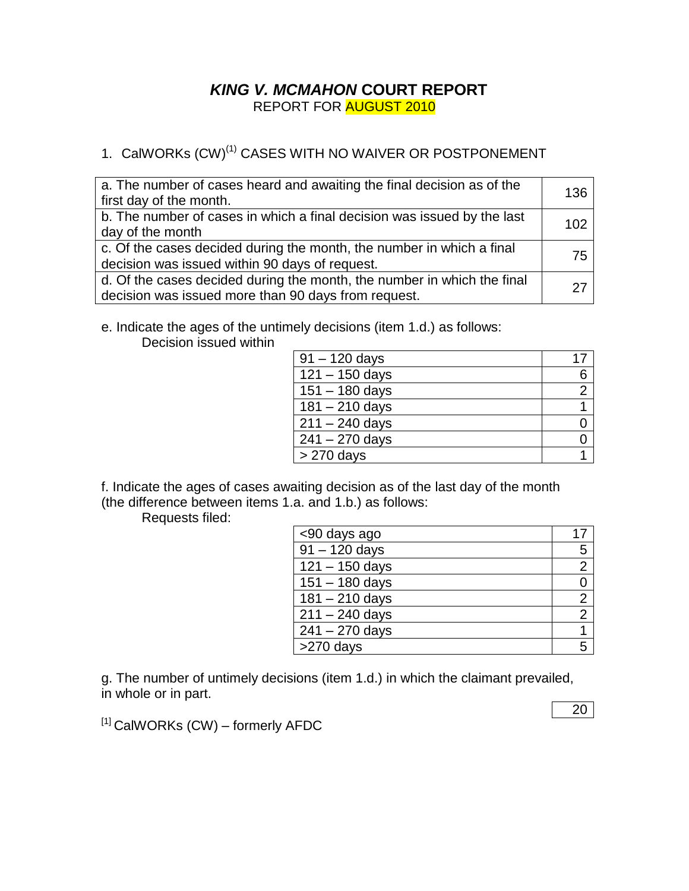## *KING V. MCMAHON* **COURT REPORT** REPORT FOR AUGUST 2010

# 1. CalWORKs (CW)<sup>(1)</sup> CASES WITH NO WAIVER OR POSTPONEMENT

| a. The number of cases heard and awaiting the final decision as of the<br>first day of the month.                              | 136 |
|--------------------------------------------------------------------------------------------------------------------------------|-----|
| b. The number of cases in which a final decision was issued by the last<br>day of the month                                    | 102 |
| c. Of the cases decided during the month, the number in which a final<br>decision was issued within 90 days of request.        | 75  |
| d. Of the cases decided during the month, the number in which the final<br>decision was issued more than 90 days from request. |     |

e. Indicate the ages of the untimely decisions (item 1.d.) as follows:

Decision issued within

| $91 - 120$ days  |   |
|------------------|---|
| $121 - 150$ days | 6 |
| $151 - 180$ days |   |
| $181 - 210$ days |   |
| $211 - 240$ days |   |
| $241 - 270$ days |   |
| $>270$ days      |   |

f. Indicate the ages of cases awaiting decision as of the last day of the month (the difference between items 1.a. and 1.b.) as follows:

Requests filed:

| <90 days ago                |                |
|-----------------------------|----------------|
| $\sqrt{91 - 120}$ days      | 5              |
| $121 - 150$ days            | $\overline{2}$ |
| $151 - 180$ days            |                |
| $\overline{181} - 210$ days | $\overline{2}$ |
| $211 - 240$ days            | $\overline{2}$ |
| $241 - 270$ days            |                |
| >270 days                   |                |

g. The number of untimely decisions (item 1.d.) in which the claimant prevailed, in whole or in part.

 $[1]$  CalWORKs (CW) – formerly AFDC

20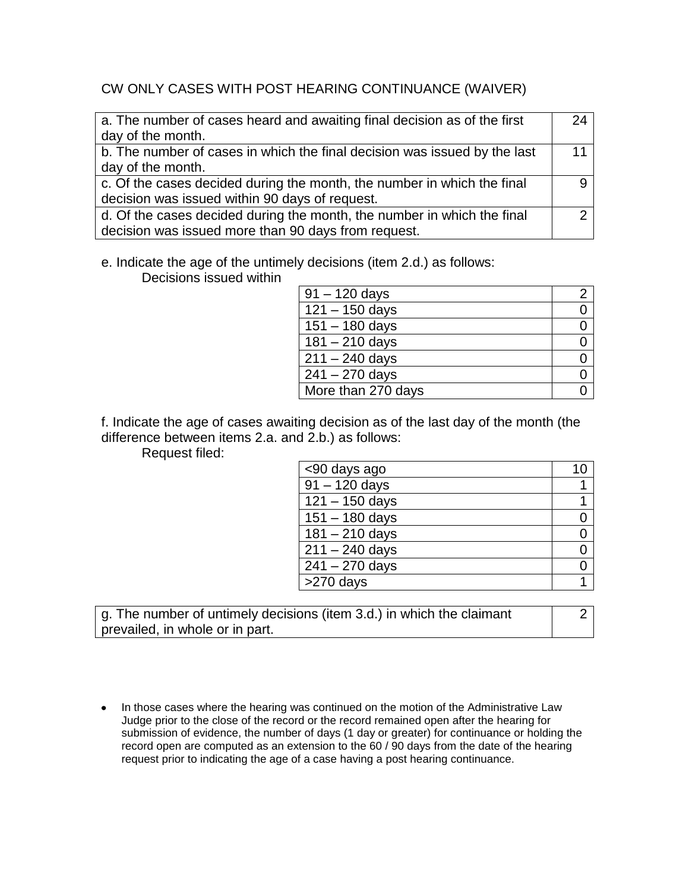### CW ONLY CASES WITH POST HEARING CONTINUANCE (WAIVER)

| a. The number of cases heard and awaiting final decision as of the first  | 24 |
|---------------------------------------------------------------------------|----|
| day of the month.                                                         |    |
| b. The number of cases in which the final decision was issued by the last | 11 |
| day of the month.                                                         |    |
| c. Of the cases decided during the month, the number in which the final   |    |
| decision was issued within 90 days of request.                            |    |
| d. Of the cases decided during the month, the number in which the final   |    |
| decision was issued more than 90 days from request.                       |    |

e. Indicate the age of the untimely decisions (item 2.d.) as follows:

Decisions issued within

| $91 - 120$ days    |  |
|--------------------|--|
| $121 - 150$ days   |  |
| $151 - 180$ days   |  |
| $181 - 210$ days   |  |
| $211 - 240$ days   |  |
| $241 - 270$ days   |  |
| More than 270 days |  |

f. Indicate the age of cases awaiting decision as of the last day of the month (the difference between items 2.a. and 2.b.) as follows:

Request filed:

| <90 days ago     |  |
|------------------|--|
| $91 - 120$ days  |  |
| $121 - 150$ days |  |
| $151 - 180$ days |  |
| $181 - 210$ days |  |
| $211 - 240$ days |  |
| $241 - 270$ days |  |
| $>270$ days      |  |

g. The number of untimely decisions (item 3.d.) in which the claimant prevailed, in whole or in part.

- 2
- In those cases where the hearing was continued on the motion of the Administrative Law Judge prior to the close of the record or the record remained open after the hearing for submission of evidence, the number of days (1 day or greater) for continuance or holding the record open are computed as an extension to the 60 / 90 days from the date of the hearing request prior to indicating the age of a case having a post hearing continuance.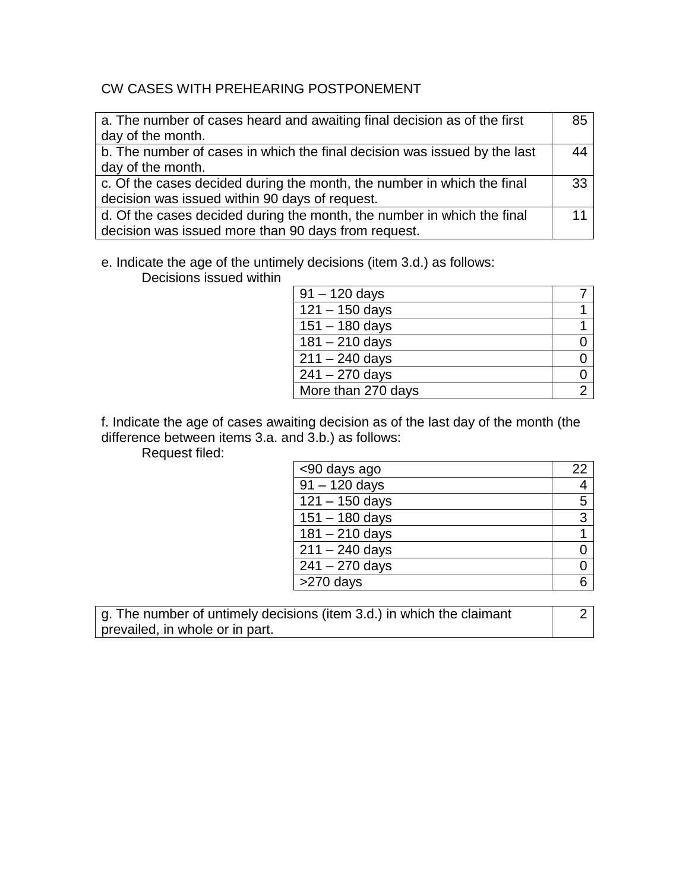## CW CASES WITH PREHEARING POSTPONEMENT

| a. The number of cases heard and awaiting final decision as of the first  | 85 |
|---------------------------------------------------------------------------|----|
| day of the month.                                                         |    |
| b. The number of cases in which the final decision was issued by the last | 44 |
| day of the month.                                                         |    |
| c. Of the cases decided during the month, the number in which the final   | 33 |
| decision was issued within 90 days of request.                            |    |
| d. Of the cases decided during the month, the number in which the final   | 11 |
| decision was issued more than 90 days from request.                       |    |

e. Indicate the age of the untimely decisions (item 3.d.) as follows:

Decisions issued within

| $91 - 120$ days    |  |
|--------------------|--|
| $121 - 150$ days   |  |
| $151 - 180$ days   |  |
| $181 - 210$ days   |  |
| $211 - 240$ days   |  |
| $241 - 270$ days   |  |
| More than 270 days |  |

f. Indicate the age of cases awaiting decision as of the last day of the month (the difference between items 3.a. and 3.b.) as follows:

Request filed:

| <90 days ago     | 22 |
|------------------|----|
| $91 - 120$ days  | 4  |
| $121 - 150$ days | 5  |
| $151 - 180$ days | 3  |
| $181 - 210$ days |    |
| $211 - 240$ days |    |
| $241 - 270$ days |    |
| >270 days        | հ  |

g. The number of untimely decisions (item 3.d.) in which the claimant prevailed, in whole or in part.

2